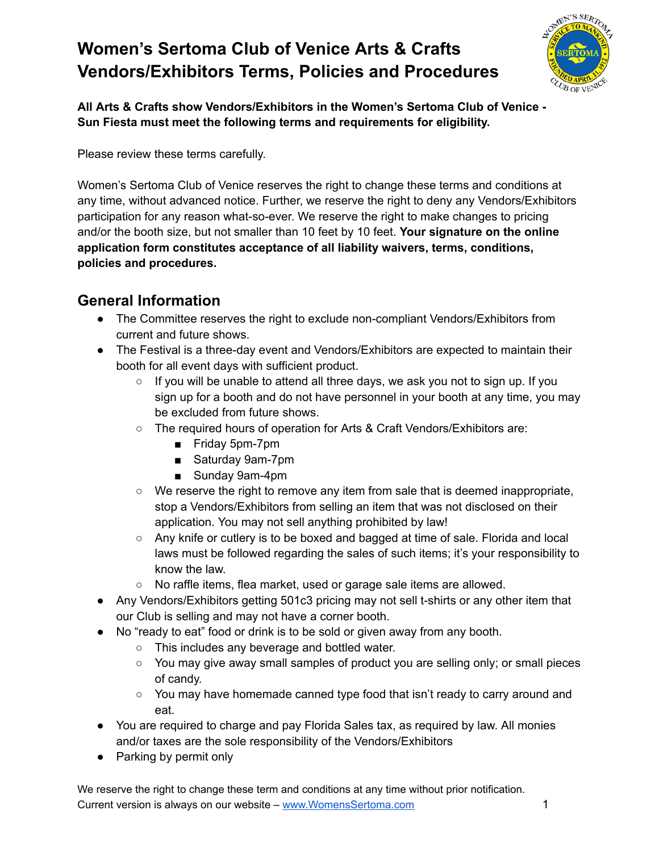

**All Arts & Crafts show Vendors/Exhibitors in the Women's Sertoma Club of Venice - Sun Fiesta must meet the following terms and requirements for eligibility.**

Please review these terms carefully.

Women's Sertoma Club of Venice reserves the right to change these terms and conditions at any time, without advanced notice. Further, we reserve the right to deny any Vendors/Exhibitors participation for any reason what-so-ever. We reserve the right to make changes to pricing and/or the booth size, but not smaller than 10 feet by 10 feet. **Your signature on the online application form constitutes acceptance of all liability waivers, terms, conditions, policies and procedures.**

## **General Information**

- The Committee reserves the right to exclude non-compliant Vendors/Exhibitors from current and future shows.
- The Festival is a three-day event and Vendors/Exhibitors are expected to maintain their booth for all event days with sufficient product.
	- $\circ$  If you will be unable to attend all three days, we ask you not to sign up. If you sign up for a booth and do not have personnel in your booth at any time, you may be excluded from future shows.
	- The required hours of operation for Arts & Craft Vendors/Exhibitors are:
		- Friday 5pm-7pm
		- Saturday 9am-7pm
		- Sunday 9am-4pm
	- We reserve the right to remove any item from sale that is deemed inappropriate, stop a Vendors/Exhibitors from selling an item that was not disclosed on their application. You may not sell anything prohibited by law!
	- Any knife or cutlery is to be boxed and bagged at time of sale. Florida and local laws must be followed regarding the sales of such items; it's your responsibility to know the law.
	- No raffle items, flea market, used or garage sale items are allowed.
- Any Vendors/Exhibitors getting 501c3 pricing may not sell t-shirts or any other item that our Club is selling and may not have a corner booth.
- No "ready to eat" food or drink is to be sold or given away from any booth.
	- This includes any beverage and bottled water.
	- You may give away small samples of product you are selling only; or small pieces of candy.
	- You may have homemade canned type food that isn't ready to carry around and eat.
- You are required to charge and pay Florida Sales tax, as required by law. All monies and/or taxes are the sole responsibility of the Vendors/Exhibitors
- Parking by permit only

We reserve the right to change these term and conditions at any time without prior notification. Current version is always on our website – [www.WomensSertoma.com](http://www.womenssertoma.com/) 1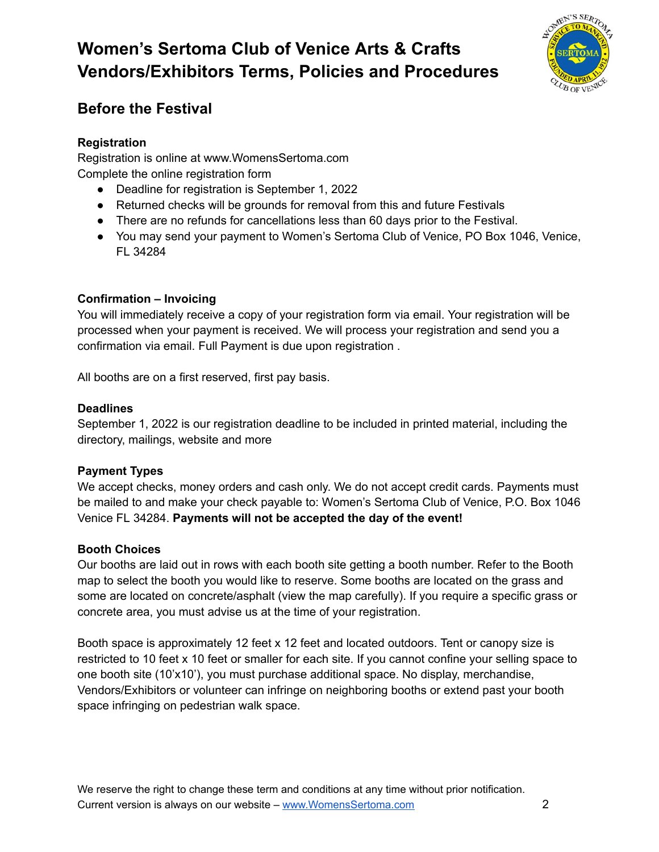

## **Before the Festival**

### **Registration**

Registration is online at www.WomensSertoma.com Complete the online registration form

- Deadline for registration is September 1, 2022
- Returned checks will be grounds for removal from this and future Festivals
- There are no refunds for cancellations less than 60 days prior to the Festival.
- You may send your payment to Women's Sertoma Club of Venice, PO Box 1046, Venice, FL 34284

### **Confirmation – Invoicing**

You will immediately receive a copy of your registration form via email. Your registration will be processed when your payment is received. We will process your registration and send you a confirmation via email. Full Payment is due upon registration .

All booths are on a first reserved, first pay basis.

#### **Deadlines**

September 1, 2022 is our registration deadline to be included in printed material, including the directory, mailings, website and more

#### **Payment Types**

We accept checks, money orders and cash only. We do not accept credit cards. Payments must be mailed to and make your check payable to: Women's Sertoma Club of Venice, P.O. Box 1046 Venice FL 34284. **Payments will not be accepted the day of the event!**

#### **Booth Choices**

Our booths are laid out in rows with each booth site getting a booth number. Refer to the Booth map to select the booth you would like to reserve. Some booths are located on the grass and some are located on concrete/asphalt (view the map carefully). If you require a specific grass or concrete area, you must advise us at the time of your registration.

Booth space is approximately 12 feet x 12 feet and located outdoors. Tent or canopy size is restricted to 10 feet x 10 feet or smaller for each site. If you cannot confine your selling space to one booth site (10'x10'), you must purchase additional space. No display, merchandise, Vendors/Exhibitors or volunteer can infringe on neighboring booths or extend past your booth space infringing on pedestrian walk space.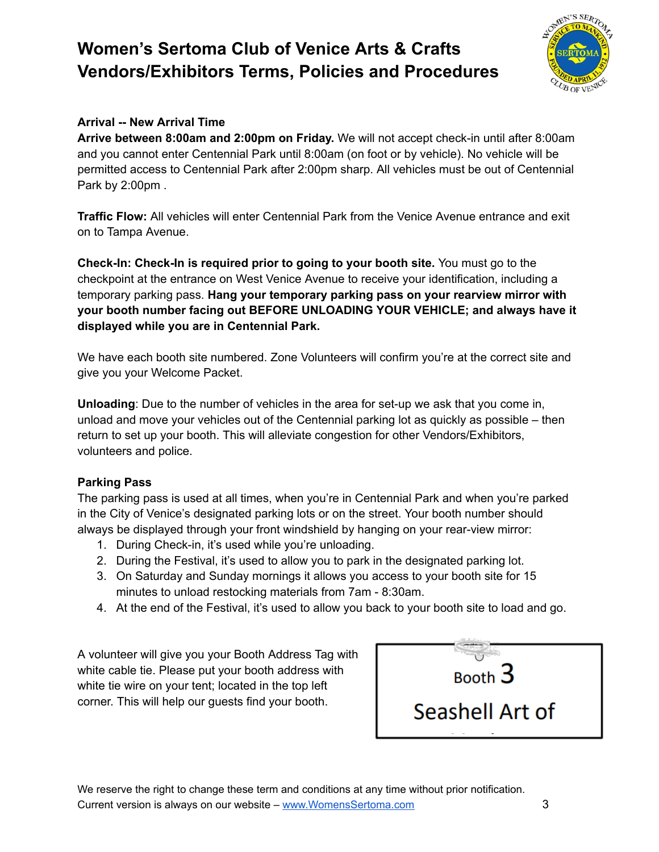

### **Arrival -- New Arrival Time**

**Arrive between 8:00am and 2:00pm on Friday.** We will not accept check-in until after 8:00am and you cannot enter Centennial Park until 8:00am (on foot or by vehicle). No vehicle will be permitted access to Centennial Park after 2:00pm sharp. All vehicles must be out of Centennial Park by 2:00pm .

**Traffic Flow:** All vehicles will enter Centennial Park from the Venice Avenue entrance and exit on to Tampa Avenue.

**Check-In: Check-In is required prior to going to your booth site.** You must go to the checkpoint at the entrance on West Venice Avenue to receive your identification, including a temporary parking pass. **Hang your temporary parking pass on your rearview mirror with your booth number facing out BEFORE UNLOADING YOUR VEHICLE; and always have it displayed while you are in Centennial Park.**

We have each booth site numbered. Zone Volunteers will confirm you're at the correct site and give you your Welcome Packet.

**Unloading**: Due to the number of vehicles in the area for set-up we ask that you come in, unload and move your vehicles out of the Centennial parking lot as quickly as possible – then return to set up your booth. This will alleviate congestion for other Vendors/Exhibitors, volunteers and police.

#### **Parking Pass**

The parking pass is used at all times, when you're in Centennial Park and when you're parked in the City of Venice's designated parking lots or on the street. Your booth number should always be displayed through your front windshield by hanging on your rear-view mirror:

- 1. During Check-in, it's used while you're unloading.
- 2. During the Festival, it's used to allow you to park in the designated parking lot.
- 3. On Saturday and Sunday mornings it allows you access to your booth site for 15 minutes to unload restocking materials from 7am - 8:30am.
- 4. At the end of the Festival, it's used to allow you back to your booth site to load and go.

A volunteer will give you your Booth Address Tag with white cable tie. Please put your booth address with white tie wire on your tent; located in the top left corner. This will help our guests find your booth.



We reserve the right to change these term and conditions at any time without prior notification. Current version is always on our website – [www.WomensSertoma.com](http://www.womenssertoma.com/) 3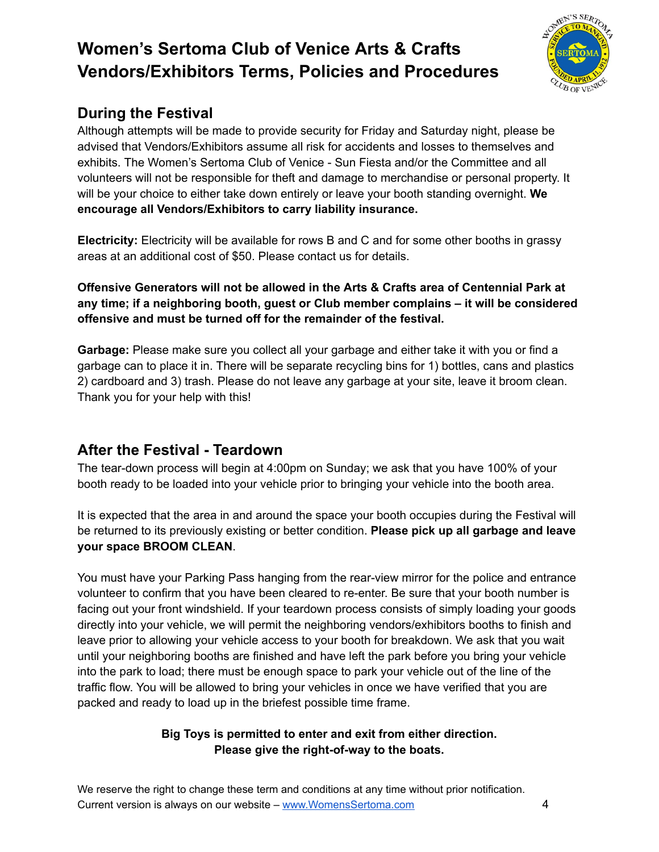

## **During the Festival**

Although attempts will be made to provide security for Friday and Saturday night, please be advised that Vendors/Exhibitors assume all risk for accidents and losses to themselves and exhibits. The Women's Sertoma Club of Venice - Sun Fiesta and/or the Committee and all volunteers will not be responsible for theft and damage to merchandise or personal property. It will be your choice to either take down entirely or leave your booth standing overnight. **We encourage all Vendors/Exhibitors to carry liability insurance.**

**Electricity:** Electricity will be available for rows B and C and for some other booths in grassy areas at an additional cost of \$50. Please contact us for details.

**Offensive Generators will not be allowed in the Arts & Crafts area of Centennial Park at any time; if a neighboring booth, guest or Club member complains – it will be considered offensive and must be turned off for the remainder of the festival.**

**Garbage:** Please make sure you collect all your garbage and either take it with you or find a garbage can to place it in. There will be separate recycling bins for 1) bottles, cans and plastics 2) cardboard and 3) trash. Please do not leave any garbage at your site, leave it broom clean. Thank you for your help with this!

## **After the Festival - Teardown**

The tear-down process will begin at 4:00pm on Sunday; we ask that you have 100% of your booth ready to be loaded into your vehicle prior to bringing your vehicle into the booth area.

It is expected that the area in and around the space your booth occupies during the Festival will be returned to its previously existing or better condition. **Please pick up all garbage and leave your space BROOM CLEAN**.

You must have your Parking Pass hanging from the rear-view mirror for the police and entrance volunteer to confirm that you have been cleared to re-enter. Be sure that your booth number is facing out your front windshield. If your teardown process consists of simply loading your goods directly into your vehicle, we will permit the neighboring vendors/exhibitors booths to finish and leave prior to allowing your vehicle access to your booth for breakdown. We ask that you wait until your neighboring booths are finished and have left the park before you bring your vehicle into the park to load; there must be enough space to park your vehicle out of the line of the traffic flow. You will be allowed to bring your vehicles in once we have verified that you are packed and ready to load up in the briefest possible time frame.

### **Big Toys is permitted to enter and exit from either direction. Please give the right-of-way to the boats.**

We reserve the right to change these term and conditions at any time without prior notification. Current version is always on our website – [www.WomensSertoma.com](http://www.womenssertoma.com/) 4